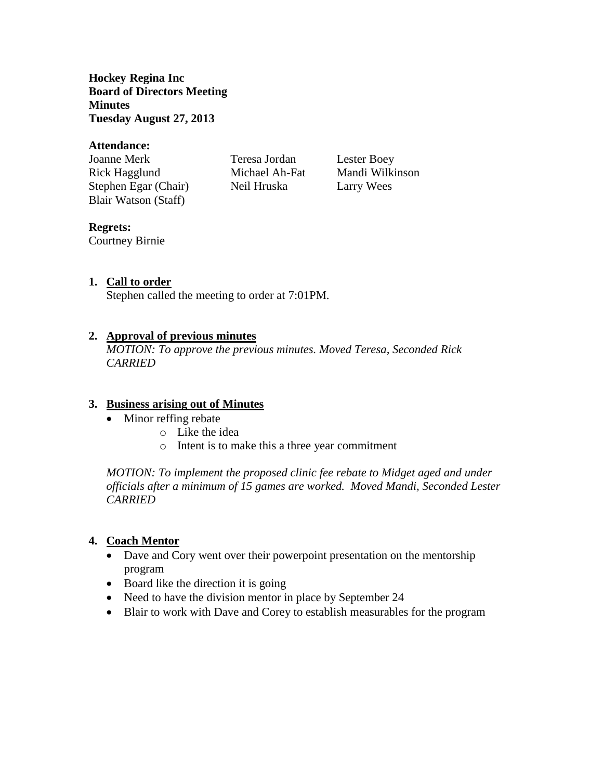**Hockey Regina Inc Board of Directors Meeting Minutes Tuesday August 27, 2013**

#### **Attendance:**

Joanne Merk Teresa Jordan Lester Boey Rick Hagglund Michael Ah-Fat Mandi Wilkinson Stephen Egar (Chair) Neil Hruska Larry Wees Blair Watson (Staff)

# **Regrets:**

Courtney Birnie

## **1. Call to order**

Stephen called the meeting to order at 7:01PM.

## **2. Approval of previous minutes**

*MOTION: To approve the previous minutes. Moved Teresa, Seconded Rick CARRIED*

## **3. Business arising out of Minutes**

- Minor reffing rebate
	- o Like the idea
	- o Intent is to make this a three year commitment

*MOTION: To implement the proposed clinic fee rebate to Midget aged and under officials after a minimum of 15 games are worked. Moved Mandi, Seconded Lester CARRIED*

## **4. Coach Mentor**

- Dave and Cory went over their powerpoint presentation on the mentorship program
- Board like the direction it is going
- Need to have the division mentor in place by September 24
- Blair to work with Dave and Corey to establish measurables for the program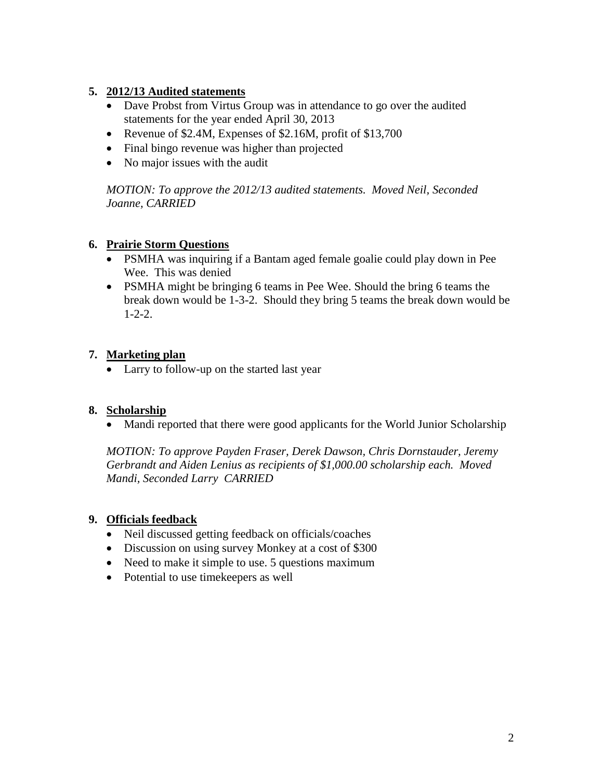## **5. 2012/13 Audited statements**

- Dave Probst from Virtus Group was in attendance to go over the audited statements for the year ended April 30, 2013
- Revenue of \$2.4M, Expenses of \$2.16M, profit of \$13,700
- Final bingo revenue was higher than projected
- No major issues with the audit

*MOTION: To approve the 2012/13 audited statements. Moved Neil, Seconded Joanne, CARRIED*

## **6. Prairie Storm Questions**

- PSMHA was inquiring if a Bantam aged female goalie could play down in Pee Wee. This was denied
- PSMHA might be bringing 6 teams in Pee Wee. Should the bring 6 teams the break down would be 1-3-2. Should they bring 5 teams the break down would be 1-2-2.

# **7. Marketing plan**

• Larry to follow-up on the started last year

# **8. Scholarship**

Mandi reported that there were good applicants for the World Junior Scholarship

*MOTION: To approve Payden Fraser, Derek Dawson, Chris Dornstauder, Jeremy Gerbrandt and Aiden Lenius as recipients of \$1,000.00 scholarship each. Moved Mandi, Seconded Larry CARRIED*

## **9. Officials feedback**

- Neil discussed getting feedback on officials/coaches
- Discussion on using survey Monkey at a cost of \$300
- Need to make it simple to use. 5 questions maximum
- Potential to use timekeepers as well